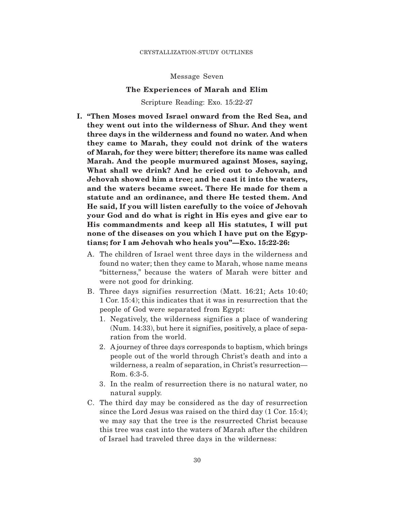Message Seven

## **The Experiences of Marah and Elim**

Scripture Reading: Exo. 15:22-27

- **I. "Then Moses moved Israel onward from the Red Sea, and they went out into the wilderness of Shur. And they went three days in the wilderness and found no water. And when they came to Marah, they could not drink of the waters of Marah, for they were bitter; therefore its name was called Marah. And the people murmured against Moses, saying, What shall we drink? And he cried out to Jehovah, and Jehovah showed him a tree; and he cast it into the waters, and the waters became sweet. There He made for them a statute and an ordinance, and there He tested them. And He said, If you will listen carefully to the voice of Jehovah your God and do what is right in His eyes and give ear to His commandments and keep all His statutes, I will put none of the diseases on you which I have put on the Egyptians; for I am Jehovah who heals you"—Exo. 15:22-26:**
	- A. The children of Israel went three days in the wilderness and found no water; then they came to Marah, whose name means "bitterness," because the waters of Marah were bitter and were not good for drinking.
	- B. Three days signifies resurrection (Matt. 16:21; Acts 10:40; 1 Cor. 15:4); this indicates that it was in resurrection that the people of God were separated from Egypt:
		- 1. Negatively, the wilderness signifies a place of wandering  $(Num. 14:33)$ , but here it signifies, positively, a place of separation from the world.
		- 2. A journey of three days corresponds to baptism, which brings people out of the world through Christ's death and into a wilderness, a realm of separation, in Christ's resurrection— Rom. 6:3-5.
		- 3. In the realm of resurrection there is no natural water, no natural supply.
	- C. The third day may be considered as the day of resurrection since the Lord Jesus was raised on the third day (1 Cor. 15:4); we may say that the tree is the resurrected Christ because this tree was cast into the waters of Marah after the children of Israel had traveled three days in the wilderness: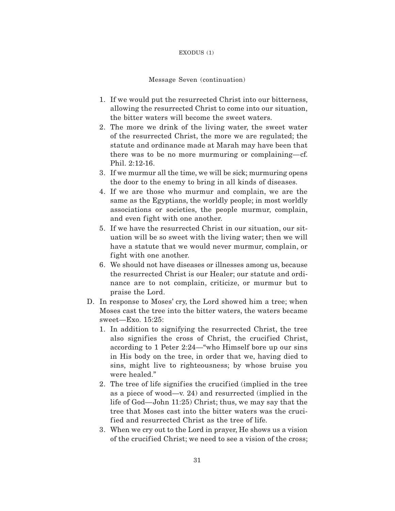#### EXODUS (1)

### Message Seven (continuation)

- 1. If we would put the resurrected Christ into our bitterness, allowing the resurrected Christ to come into our situation, the bitter waters will become the sweet waters.
- 2. The more we drink of the living water, the sweet water of the resurrected Christ, the more we are regulated; the statute and ordinance made at Marah may have been that there was to be no more murmuring or complaining—cf. Phil. 2:12-16.
- 3. If we murmur all the time, we will be sick; murmuring opens the door to the enemy to bring in all kinds of diseases.
- 4. If we are those who murmur and complain, we are the same as the Egyptians, the worldly people; in most worldly associations or societies, the people murmur, complain, and even fight with one another.
- 5. If we have the resurrected Christ in our situation, our situation will be so sweet with the living water; then we will have a statute that we would never murmur, complain, or fight with one another.
- 6. We should not have diseases or illnesses among us, because the resurrected Christ is our Healer; our statute and ordinance are to not complain, criticize, or murmur but to praise the Lord.
- D. In response to Moses' cry, the Lord showed him a tree; when Moses cast the tree into the bitter waters, the waters became sweet—Exo. 15:25:
	- 1. In addition to signifying the resurrected Christ, the tree also signifies the cross of Christ, the crucified Christ, according to 1 Peter 2:24—"who Himself bore up our sins in His body on the tree, in order that we, having died to sins, might live to righteousness; by whose bruise you were healed."
	- 2. The tree of life signifies the crucified (implied in the tree as a piece of wood—v. 24) and resurrected (implied in the life of God—John 11:25) Christ; thus, we may say that the tree that Moses cast into the bitter waters was the crucified and resurrected Christ as the tree of life.
	- 3. When we cry out to the Lord in prayer, He shows us a vision of the crucified Christ; we need to see a vision of the cross;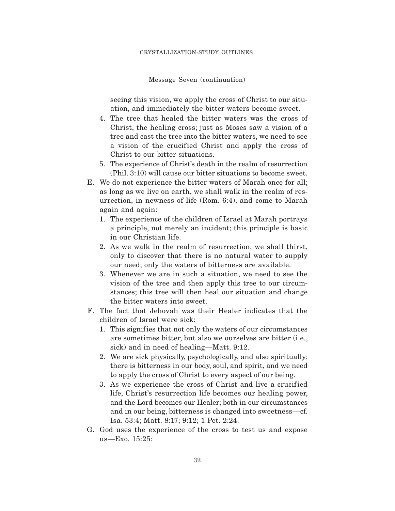Message Seven (continuation)

seeing this vision, we apply the cross of Christ to our situation, and immediately the bitter waters become sweet.

- 4. The tree that healed the bitter waters was the cross of Christ, the healing cross; just as Moses saw a vision of a tree and cast the tree into the bitter waters, we need to see a vision of the crucified Christ and apply the cross of Christ to our bitter situations.
- 5. The experience of Christ's death in the realm of resurrection (Phil. 3:10) will cause our bitter situations to become sweet.
- E. We do not experience the bitter waters of Marah once for all; as long as we live on earth, we shall walk in the realm of resurrection, in newness of life (Rom. 6:4), and come to Marah again and again:
	- 1. The experience of the children of Israel at Marah portrays a principle, not merely an incident; this principle is basic in our Christian life.
	- 2. As we walk in the realm of resurrection, we shall thirst, only to discover that there is no natural water to supply our need; only the waters of bitterness are available.
	- 3. Whenever we are in such a situation, we need to see the vision of the tree and then apply this tree to our circumstances; this tree will then heal our situation and change the bitter waters into sweet.
- F. The fact that Jehovah was their Healer indicates that the children of Israel were sick:
	- 1. This signif ies that not only the waters of our circumstances are sometimes bitter, but also we ourselves are bitter (i.e., sick) and in need of healing—Matt. 9:12.
	- 2. We are sick physically, psychologically, and also spiritually; there is bitterness in our body, soul, and spirit, and we need to apply the cross of Christ to every aspect of our being.
	- 3. As we experience the cross of Christ and live a crucified life, Christ's resurrection life becomes our healing power, and the Lord becomes our Healer; both in our circumstances and in our being, bitterness is changed into sweetness—cf. Isa. 53:4; Matt. 8:17; 9:12; 1 Pet. 2:24.
- G. God uses the experience of the cross to test us and expose us—Exo. 15:25: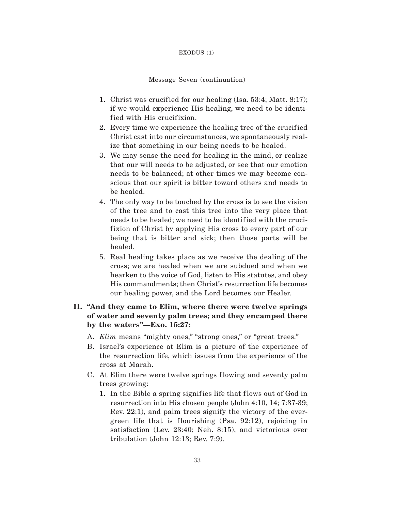#### EXODUS (1)

#### Message Seven (continuation)

- 1. Christ was crucified for our healing (Isa. 53:4; Matt. 8:17); if we would experience His healing, we need to be identified with His crucifixion.
- 2. Every time we experience the healing tree of the crucified Christ cast into our circumstances, we spontaneously realize that something in our being needs to be healed.
- 3. We may sense the need for healing in the mind, or realize that our will needs to be adjusted, or see that our emotion needs to be balanced; at other times we may become conscious that our spirit is bitter toward others and needs to be healed.
- 4. The only way to be touched by the cross is to see the vision of the tree and to cast this tree into the very place that needs to be healed; we need to be identif ied with the crucifixion of Christ by applying His cross to every part of our being that is bitter and sick; then those parts will be healed.
- 5. Real healing takes place as we receive the dealing of the cross; we are healed when we are subdued and when we hearken to the voice of God, listen to His statutes, and obey His commandments; then Christ's resurrection life becomes our healing power, and the Lord becomes our Healer.

# **II. "And they came to Elim, where there were twelve springs of water and seventy palm trees; and they encamped there by the waters"—Exo. 15:27:**

- A. *Elim* means "mighty ones," "strong ones," or "great trees."
- B. Israel's experience at Elim is a picture of the experience of the resurrection life, which issues from the experience of the cross at Marah.
- C. At Elim there were twelve springs flowing and seventy palm trees growing:
	- 1. In the Bible a spring signifies life that flows out of God in resurrection into His chosen people (John 4:10, 14; 7:37-39; Rev. 22:1), and palm trees signify the victory of the evergreen life that is flourishing (Psa. 92:12), rejoicing in satisfaction (Lev. 23:40; Neh. 8:15), and victorious over tribulation (John 12:13; Rev. 7:9).